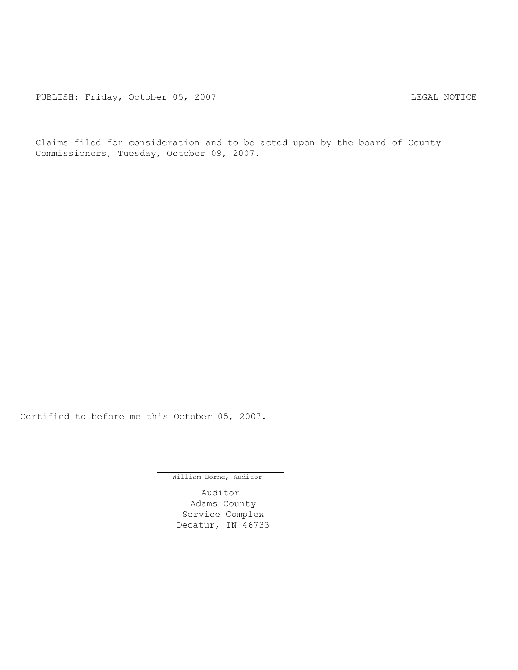PUBLISH: Friday, October 05, 2007 LEGAL NOTICE

Claims filed for consideration and to be acted upon by the board of County Commissioners, Tuesday, October 09, 2007.

Certified to before me this October 05, 2007.

William Borne, Auditor

Auditor Adams County Service Complex Decatur, IN 46733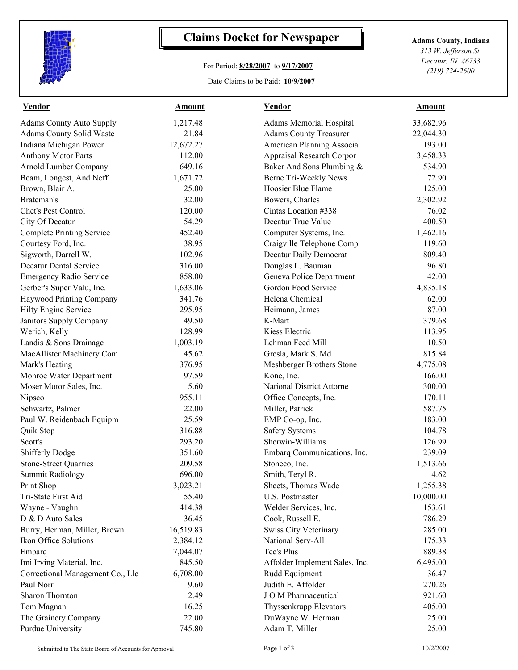

## **Claims Docket for Newspaper Adams County, Indiana**

## For Period: **8/28/2007** to **9/17/2007**

Date Claims to be Paid: **10/9/2007**

*313 W. Jefferson St. Decatur, IN 46733 (219) 724-2600*

| <b>Vendor</b>                    | <b>Amount</b> | <b>Vendor</b>                    | <b>Amount</b> |  |
|----------------------------------|---------------|----------------------------------|---------------|--|
| <b>Adams County Auto Supply</b>  | 1,217.48      | <b>Adams Memorial Hospital</b>   | 33,682.96     |  |
| Adams County Solid Waste         | 21.84         | <b>Adams County Treasurer</b>    | 22,044.30     |  |
| Indiana Michigan Power           | 12,672.27     | American Planning Associa        | 193.00        |  |
| <b>Anthony Motor Parts</b>       | 112.00        | Appraisal Research Corpor        | 3,458.33      |  |
| Arnold Lumber Company            | 649.16        | Baker And Sons Plumbing &        | 534.90        |  |
| Beam, Longest, And Neff          | 1,671.72      | Berne Tri-Weekly News            | 72.90         |  |
| Brown, Blair A.                  | 25.00         | Hoosier Blue Flame               | 125.00        |  |
| Brateman's                       | 32.00         | Bowers, Charles                  | 2,302.92      |  |
| Chet's Pest Control              | 120.00        | Cintas Location #338             | 76.02         |  |
| City Of Decatur                  | 54.29         | Decatur True Value               | 400.50        |  |
| <b>Complete Printing Service</b> | 452.40        | Computer Systems, Inc.           | 1,462.16      |  |
| Courtesy Ford, Inc.              | 38.95         | Craigville Telephone Comp        | 119.60        |  |
| Sigworth, Darrell W.             | 102.96        | Decatur Daily Democrat           | 809.40        |  |
| <b>Decatur Dental Service</b>    | 316.00        | Douglas L. Bauman                | 96.80         |  |
| <b>Emergency Radio Service</b>   | 858.00        | Geneva Police Department         | 42.00         |  |
| Gerber's Super Valu, Inc.        | 1,633.06      | Gordon Food Service              | 4,835.18      |  |
| Haywood Printing Company         | 341.76        | Helena Chemical                  | 62.00         |  |
| Hilty Engine Service             | 295.95        | Heimann, James                   | 87.00         |  |
| Janitors Supply Company          | 49.50         | K-Mart                           | 379.68        |  |
| Werich, Kelly                    | 128.99        | Kiess Electric                   | 113.95        |  |
| Landis & Sons Drainage           | 1,003.19      | Lehman Feed Mill                 | 10.50         |  |
| MacAllister Machinery Com        | 45.62         | Gresla, Mark S. Md               | 815.84        |  |
| Mark's Heating                   | 376.95        | Meshberger Brothers Stone        | 4,775.08      |  |
| Monroe Water Department          | 97.59         | Kone, Inc.                       | 166.00        |  |
| Moser Motor Sales, Inc.          | 5.60          | <b>National District Attorne</b> | 300.00        |  |
| Nipsco                           | 955.11        | Office Concepts, Inc.            | 170.11        |  |
| Schwartz, Palmer                 | 22.00         | Miller, Patrick                  | 587.75        |  |
| Paul W. Reidenbach Equipm        | 25.59         | EMP Co-op, Inc.                  | 183.00        |  |
| Quik Stop                        | 316.88        | <b>Safety Systems</b>            | 104.78        |  |
| Scott's                          | 293.20        | Sherwin-Williams                 | 126.99        |  |
| Shifferly Dodge                  | 351.60        | Embarq Communications, Inc.      | 239.09        |  |
| <b>Stone-Street Quarries</b>     | 209.58        | Stoneco, Inc.                    | 1,513.66      |  |
| Summit Radiology                 | 696.00        | Smith, Teryl R.                  | 4.62          |  |
| Print Shop                       | 3,023.21      | Sheets, Thomas Wade              | 1,255.38      |  |
| Tri-State First Aid              | 55.40         | U.S. Postmaster                  | 10,000.00     |  |
| Wayne - Vaughn                   | 414.38        | Welder Services, Inc.            | 153.61        |  |
| D & D Auto Sales                 | 36.45         | Cook, Russell E.                 | 786.29        |  |
| Burry, Herman, Miller, Brown     | 16,519.83     | Swiss City Veterinary            | 285.00        |  |
| Ikon Office Solutions            | 2,384.12      | National Serv-All                | 175.33        |  |
| Embarq                           | 7,044.07      | Tee's Plus                       | 889.38        |  |
| Imi Irving Material, Inc.        | 845.50        | Affolder Implement Sales, Inc.   | 6,495.00      |  |
| Correctional Management Co., Llc | 6,708.00      | Rudd Equipment                   | 36.47         |  |
| Paul Norr                        | 9.60          | Judith E. Affolder               | 270.26        |  |
| Sharon Thornton                  | 2.49          | J O M Pharmaceutical             | 921.60        |  |
| Tom Magnan                       | 16.25         | Thyssenkrupp Elevators           | 405.00        |  |
| The Grainery Company             | 22.00         | DuWayne W. Herman                | 25.00         |  |
| <b>Purdue University</b>         | 745.80        | Adam T. Miller                   | 25.00         |  |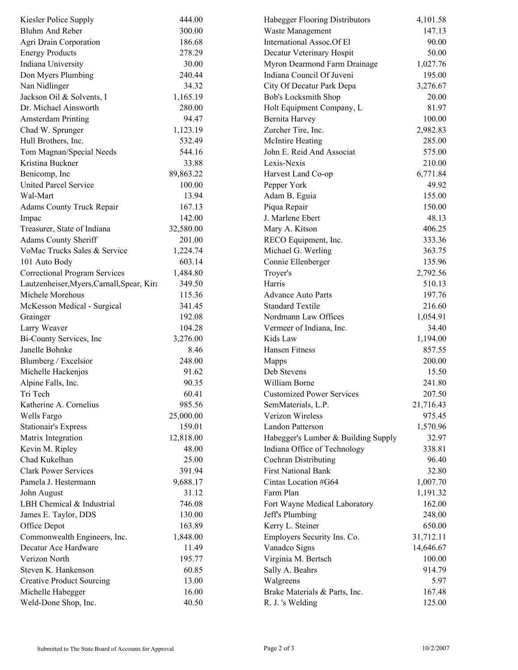| Kiesler Police Supply                      | 444.00    | Habegger Flooring Distributors      | 4,101.58  |  |
|--------------------------------------------|-----------|-------------------------------------|-----------|--|
| <b>Bluhm And Reber</b>                     | 300.00    | Waste Management                    | 147.13    |  |
| Agri Drain Corporation                     | 186.68    | International Assoc.Of El           | 90.00     |  |
| <b>Energy Products</b>                     | 278.29    | Decatur Veterinary Hospit           | 50.00     |  |
| Indiana University                         | 30.00     | Myron Dearmond Farm Drainage        | 1,027.76  |  |
| Don Myers Plumbing                         | 240.44    | Indiana Council Of Juveni           | 195.00    |  |
| Nan Nidlinger                              | 34.32     | City Of Decatur Park Depa           | 3,276.67  |  |
| Jackson Oil & Solvents, I                  | 1,165.19  | Bob's Locksmith Shop                | 20.00     |  |
| Dr. Michael Ainsworth                      | 280.00    | Holt Equipment Company, L           | 81.97     |  |
| <b>Amsterdam Printing</b>                  | 94.47     | Bernita Harvey                      | 100.00    |  |
| Chad W. Sprunger                           | 1,123.19  | Zurcher Tire, Inc.                  | 2,982.83  |  |
| Hull Brothers, Inc.                        | 532.49    | <b>McIntire Heating</b>             | 285.00    |  |
| Tom Magnan/Special Needs                   | 544.16    | John E. Reid And Associat           | 575.00    |  |
| Kristina Buckner                           | 33.88     | Lexis-Nexis                         | 210.00    |  |
| Benicomp, Inc                              | 89,863.22 | Harvest Land Co-op                  | 6,771.84  |  |
| <b>United Parcel Service</b>               | 100.00    | Pepper York                         | 49.92     |  |
| Wal-Mart                                   | 13.94     | Adam B. Eguia                       | 155.00    |  |
| <b>Adams County Truck Repair</b>           | 167.13    | Piqua Repair                        | 150.00    |  |
| Impac                                      | 142.00    | J. Marlene Ebert                    | 48.13     |  |
| Treasurer, State of Indiana                | 32,580.00 | Mary A. Kitson                      | 406.25    |  |
| <b>Adams County Sheriff</b>                | 201.00    | RECO Equipment, Inc.                | 333.36    |  |
| VoMac Trucks Sales & Service               | 1,224.74  | Michael G. Werling                  | 363.75    |  |
| 101 Auto Body                              | 603.14    | Connie Ellenberger                  | 135.96    |  |
| <b>Correctional Program Services</b>       | 1,484.80  | Troyer's                            | 2,792.56  |  |
| Lautzenheiser, Myers, Carnall, Spear, Kira | 349.50    | Harris                              | 510.13    |  |
| Michele Morehous                           | 115.36    | <b>Advance Auto Parts</b>           | 197.76    |  |
|                                            | 341.45    | <b>Standard Textile</b>             | 216.60    |  |
| McKesson Medical - Surgical                |           |                                     |           |  |
| Grainger                                   | 192.08    | Nordmann Law Offices                | 1,054.91  |  |
| Larry Weaver                               | 104.28    | Vermeer of Indiana, Inc.            | 34.40     |  |
| Bi-County Services, Inc.                   | 3,276.00  | Kids Law                            | 1,194.00  |  |
| Janelle Bohnke                             | 8.46      | Hansen Fitness                      | 857.55    |  |
| Blumberg / Excelsior                       | 248.00    | Mapps                               | 200.00    |  |
| Michelle Hackenjos                         | 91.62     | Deb Stevens                         | 15.50     |  |
| Alpine Falls, Inc.                         | 90.35     | William Borne                       | 241.80    |  |
| Tri Tech                                   | 60.41     | <b>Customized Power Services</b>    | 207.50    |  |
| Katherine A. Cornelius                     | 985.56    | SemMaterials, L.P.                  | 21,716.43 |  |
| Wells Fargo                                | 25,000.00 | Verizon Wireless                    | 975.45    |  |
| <b>Stationair's Express</b>                | 159.01    | Landon Patterson                    | 1,570.96  |  |
| Matrix Integration                         | 12,818.00 | Habegger's Lumber & Building Supply | 32.97     |  |
| Kevin M. Ripley                            | 48.00     | Indiana Office of Technology        | 338.81    |  |
| Chad Kukelhan                              | 25.00     | Cochran Distributing                | 96.40     |  |
| <b>Clark Power Services</b>                | 391.94    | <b>First National Bank</b>          | 32.80     |  |
| Pamela J. Hestermann                       | 9,688.17  | Cintas Location #G64                | 1,007.70  |  |
| John August                                | 31.12     | Farm Plan                           | 1,191.32  |  |
| LBH Chemical & Industrial                  | 746.08    | Fort Wayne Medical Laboratory       | 162.00    |  |
| James E. Taylor, DDS                       | 130.00    | Jeff's Plumbing                     | 248.00    |  |
| Office Depot                               | 163.89    | Kerry L. Steiner                    | 650.00    |  |
| Commonwealth Engineers, Inc.               | 1,848.00  | Employers Security Ins. Co.         | 31,712.11 |  |
| Decatur Ace Hardware                       | 11.49     | Vanadco Signs                       | 14,646.67 |  |
| Verizon North                              | 195.77    | Virginia M. Bertsch                 | 100.00    |  |
| Steven K. Hankenson                        | 60.85     | Sally A. Beahrs                     | 914.79    |  |
| <b>Creative Product Sourcing</b>           | 13.00     | Walgreens                           | 5.97      |  |
| Michelle Habegger                          | 16.00     | Brake Materials & Parts, Inc.       | 167.48    |  |
| Weld-Done Shop, Inc.                       | 40.50     | R. J. 's Welding                    | 125.00    |  |